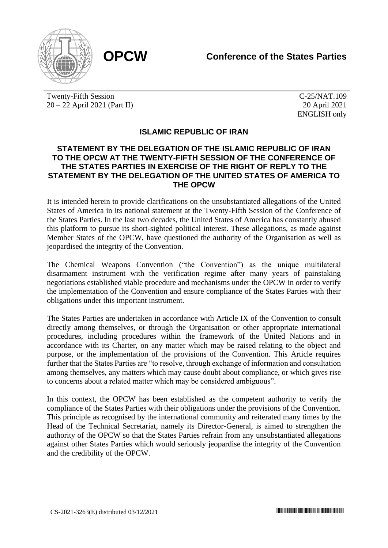

Twenty-Fifth Session 20 – 22 April 2021 (Part II)

C-25/NAT.109 20 April 2021 ENGLISH only

## **ISLAMIC REPUBLIC OF IRAN**

## **STATEMENT BY THE DELEGATION OF THE ISLAMIC REPUBLIC OF IRAN TO THE OPCW AT THE TWENTY-FIFTH SESSION OF THE CONFERENCE OF THE STATES PARTIES IN EXERCISE OF THE RIGHT OF REPLY TO THE STATEMENT BY THE DELEGATION OF THE UNITED STATES OF AMERICA TO THE OPCW**

It is intended herein to provide clarifications on the unsubstantiated allegations of the United States of America in its national statement at the Twenty-Fifth Session of the Conference of the States Parties. In the last two decades, the United States of America has constantly abused this platform to pursue its short-sighted political interest. These allegations, as made against Member States of the OPCW, have questioned the authority of the Organisation as well as jeopardised the integrity of the Convention.

The Chemical Weapons Convention ("the Convention") as the unique multilateral disarmament instrument with the verification regime after many years of painstaking negotiations established viable procedure and mechanisms under the OPCW in order to verify the implementation of the Convention and ensure compliance of the States Parties with their obligations under this important instrument.

The States Parties are undertaken in accordance with Article IX of the Convention to consult directly among themselves, or through the Organisation or other appropriate international procedures, including procedures within the framework of the United Nations and in accordance with its Charter, on any matter which may be raised relating to the object and purpose, or the implementation of the provisions of the Convention. This Article requires further that the States Parties are "to resolve, through exchange of information and consultation among themselves, any matters which may cause doubt about compliance, or which gives rise to concerns about a related matter which may be considered ambiguous".

In this context, the OPCW has been established as the competent authority to verify the compliance of the States Parties with their obligations under the provisions of the Convention. This principle as recognised by the international community and reiterated many times by the Head of the Technical Secretariat, namely its Director-General, is aimed to strengthen the authority of the OPCW so that the States Parties refrain from any unsubstantiated allegations against other States Parties which would seriously jeopardise the integrity of the Convention and the credibility of the OPCW.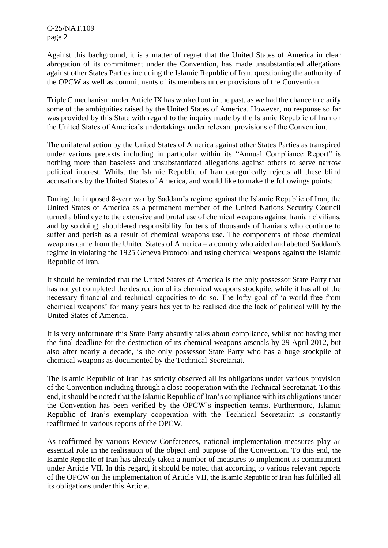C-25/NAT.109 page 2

Against this background, it is a matter of regret that the United States of America in clear abrogation of its commitment under the Convention, has made unsubstantiated allegations against other States Parties including the Islamic Republic of Iran, questioning the authority of the OPCW as well as commitments of its members under provisions of the Convention.

Triple C mechanism under Article IX has worked out in the past, as we had the chance to clarify some of the ambiguities raised by the United States of America. However, no response so far was provided by this State with regard to the inquiry made by the Islamic Republic of Iran on the United States of America's undertakings under relevant provisions of the Convention.

The unilateral action by the United States of America against other States Parties as transpired under various pretexts including in particular within its "Annual Compliance Report" is nothing more than baseless and unsubstantiated allegations against others to serve narrow political interest. Whilst the Islamic Republic of Iran categorically rejects all these blind accusations by the United States of America, and would like to make the followings points:

During the imposed 8-year war by Saddam's regime against the Islamic Republic of Iran, the United States of America as a permanent member of the United Nations Security Council turned a blind eye to the extensive and brutal use of chemical weapons against Iranian civilians, and by so doing, shouldered responsibility for tens of thousands of Iranians who continue to suffer and perish as a result of chemical weapons use. The components of those chemical weapons came from the United States of America – a country who aided and abetted Saddam's regime in violating the 1925 Geneva Protocol and using chemical weapons against the Islamic Republic of Iran.

It should be reminded that the United States of America is the only possessor State Party that has not yet completed the destruction of its chemical weapons stockpile, while it has all of the necessary financial and technical capacities to do so. The lofty goal of 'a world free from chemical weapons' for many years has yet to be realised due the lack of political will by the United States of America.

It is very unfortunate this State Party absurdly talks about compliance, whilst not having met the final deadline for the destruction of its chemical weapons arsenals by 29 April 2012, but also after nearly a decade, is the only possessor State Party who has a huge stockpile of chemical weapons as documented by the Technical Secretariat.

The Islamic Republic of Iran has strictly observed all its obligations under various provision of the Convention including through a close cooperation with the Technical Secretariat. To this end, it should be noted that the Islamic Republic of Iran's compliance with its obligations under the Convention has been verified by the OPCW's inspection teams. Furthermore, Islamic Republic of Iran's exemplary cooperation with the Technical Secretariat is constantly reaffirmed in various reports of the OPCW.

As reaffirmed by various Review Conferences, national implementation measures play an essential role in the realisation of the object and purpose of the Convention. To this end, the Islamic Republic of Iran has already taken a number of measures to implement its commitment under Article VII. In this regard, it should be noted that according to various relevant reports of the OPCW on the implementation of Article VII, the Islamic Republic of Iran has fulfilled all its obligations under this Article.